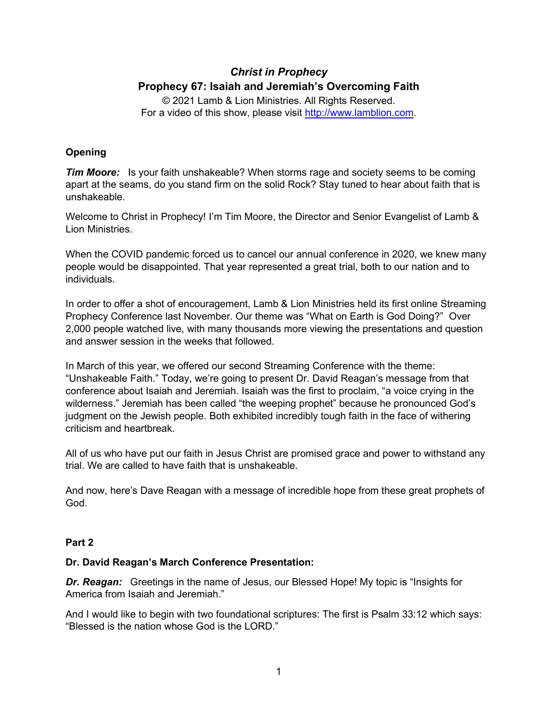## *Christ in Prophecy* **Prophecy 67: Isaiah and Jeremiah's Overcoming Faith**

© 2021 Lamb & Lion Ministries. All Rights Reserved. For a video of this show, please visit [http://www.lamblion.com.](http://www.lamblion.com/)

### **Opening**

*Tim Moore:* Is your faith unshakeable? When storms rage and society seems to be coming apart at the seams, do you stand firm on the solid Rock? Stay tuned to hear about faith that is unshakeable.

Welcome to Christ in Prophecy! I'm Tim Moore, the Director and Senior Evangelist of Lamb & Lion Ministries.

When the COVID pandemic forced us to cancel our annual conference in 2020, we knew many people would be disappointed. That year represented a great trial, both to our nation and to individuals.

In order to offer a shot of encouragement, Lamb & Lion Ministries held its first online Streaming Prophecy Conference last November. Our theme was "What on Earth is God Doing?" Over 2,000 people watched live, with many thousands more viewing the presentations and question and answer session in the weeks that followed.

In March of this year, we offered our second Streaming Conference with the theme: "Unshakeable Faith." Today, we're going to present Dr. David Reagan's message from that conference about Isaiah and Jeremiah. Isaiah was the first to proclaim, "a voice crying in the wilderness." Jeremiah has been called "the weeping prophet" because he pronounced God's judgment on the Jewish people. Both exhibited incredibly tough faith in the face of withering criticism and heartbreak.

All of us who have put our faith in Jesus Christ are promised grace and power to withstand any trial. We are called to have faith that is unshakeable.

And now, here's Dave Reagan with a message of incredible hope from these great prophets of God.

#### **Part 2**

#### **Dr. David Reagan's March Conference Presentation:**

**Dr. Reagan:** Greetings in the name of Jesus, our Blessed Hope! My topic is "Insights for America from Isaiah and Jeremiah."

And I would like to begin with two foundational scriptures: The first is Psalm 33:12 which says: "Blessed is the nation whose God is the LORD."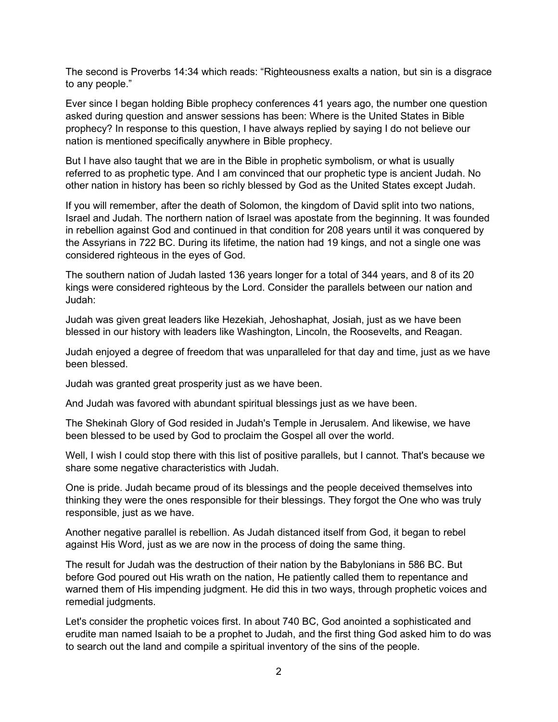The second is Proverbs 14:34 which reads: "Righteousness exalts a nation, but sin is a disgrace to any people."

Ever since I began holding Bible prophecy conferences 41 years ago, the number one question asked during question and answer sessions has been: Where is the United States in Bible prophecy? In response to this question, I have always replied by saying I do not believe our nation is mentioned specifically anywhere in Bible prophecy.

But I have also taught that we are in the Bible in prophetic symbolism, or what is usually referred to as prophetic type. And I am convinced that our prophetic type is ancient Judah. No other nation in history has been so richly blessed by God as the United States except Judah.

If you will remember, after the death of Solomon, the kingdom of David split into two nations, Israel and Judah. The northern nation of Israel was apostate from the beginning. It was founded in rebellion against God and continued in that condition for 208 years until it was conquered by the Assyrians in 722 BC. During its lifetime, the nation had 19 kings, and not a single one was considered righteous in the eyes of God.

The southern nation of Judah lasted 136 years longer for a total of 344 years, and 8 of its 20 kings were considered righteous by the Lord. Consider the parallels between our nation and Judah:

Judah was given great leaders like Hezekiah, Jehoshaphat, Josiah, just as we have been blessed in our history with leaders like Washington, Lincoln, the Roosevelts, and Reagan.

Judah enjoyed a degree of freedom that was unparalleled for that day and time, just as we have been blessed.

Judah was granted great prosperity just as we have been.

And Judah was favored with abundant spiritual blessings just as we have been.

The Shekinah Glory of God resided in Judah's Temple in Jerusalem. And likewise, we have been blessed to be used by God to proclaim the Gospel all over the world.

Well, I wish I could stop there with this list of positive parallels, but I cannot. That's because we share some negative characteristics with Judah.

One is pride. Judah became proud of its blessings and the people deceived themselves into thinking they were the ones responsible for their blessings. They forgot the One who was truly responsible, just as we have.

Another negative parallel is rebellion. As Judah distanced itself from God, it began to rebel against His Word, just as we are now in the process of doing the same thing.

The result for Judah was the destruction of their nation by the Babylonians in 586 BC. But before God poured out His wrath on the nation, He patiently called them to repentance and warned them of His impending judgment. He did this in two ways, through prophetic voices and remedial judgments.

Let's consider the prophetic voices first. In about 740 BC, God anointed a sophisticated and erudite man named Isaiah to be a prophet to Judah, and the first thing God asked him to do was to search out the land and compile a spiritual inventory of the sins of the people.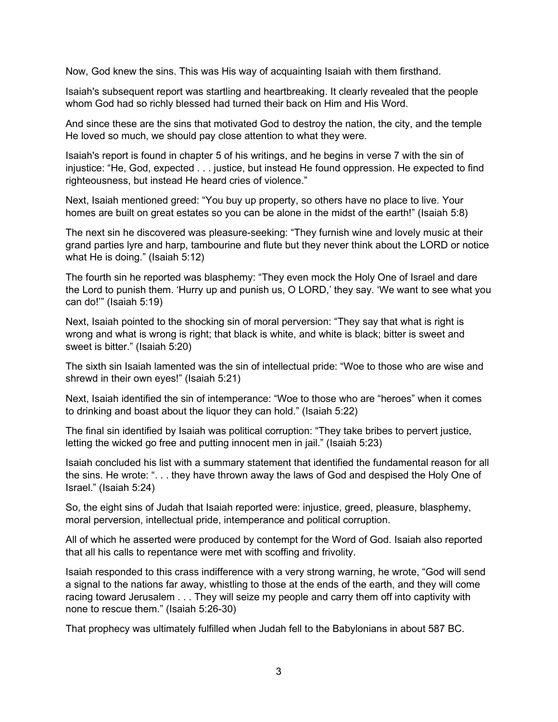Now, God knew the sins. This was His way of acquainting Isaiah with them firsthand.

Isaiah's subsequent report was startling and heartbreaking. It clearly revealed that the people whom God had so richly blessed had turned their back on Him and His Word.

And since these are the sins that motivated God to destroy the nation, the city, and the temple He loved so much, we should pay close attention to what they were.

Isaiah's report is found in chapter 5 of his writings, and he begins in verse 7 with the sin of injustice: "He, God, expected . . . justice, but instead He found oppression. He expected to find righteousness, but instead He heard cries of violence."

Next, Isaiah mentioned greed: "You buy up property, so others have no place to live. Your homes are built on great estates so you can be alone in the midst of the earth!" (Isaiah 5:8)

The next sin he discovered was pleasure-seeking: "They furnish wine and lovely music at their grand parties lyre and harp, tambourine and flute but they never think about the LORD or notice what He is doing." (Isaiah 5:12)

The fourth sin he reported was blasphemy: "They even mock the Holy One of Israel and dare the Lord to punish them. 'Hurry up and punish us, O LORD,' they say. 'We want to see what you can do!'" (Isaiah 5:19)

Next, Isaiah pointed to the shocking sin of moral perversion: "They say that what is right is wrong and what is wrong is right; that black is white, and white is black; bitter is sweet and sweet is bitter." (Isaiah 5:20)

The sixth sin Isaiah lamented was the sin of intellectual pride: "Woe to those who are wise and shrewd in their own eyes!" (Isaiah 5:21)

Next, Isaiah identified the sin of intemperance: "Woe to those who are "heroes" when it comes to drinking and boast about the liquor they can hold." (Isaiah 5:22)

The final sin identified by Isaiah was political corruption: "They take bribes to pervert justice, letting the wicked go free and putting innocent men in jail." (Isaiah 5:23)

Isaiah concluded his list with a summary statement that identified the fundamental reason for all the sins. He wrote: ". . . they have thrown away the laws of God and despised the Holy One of Israel." (Isaiah 5:24)

So, the eight sins of Judah that Isaiah reported were: injustice, greed, pleasure, blasphemy, moral perversion, intellectual pride, intemperance and political corruption.

All of which he asserted were produced by contempt for the Word of God. Isaiah also reported that all his calls to repentance were met with scoffing and frivolity.

Isaiah responded to this crass indifference with a very strong warning, he wrote, "God will send a signal to the nations far away, whistling to those at the ends of the earth, and they will come racing toward Jerusalem . . . They will seize my people and carry them off into captivity with none to rescue them." (Isaiah 5:26-30)

That prophecy was ultimately fulfilled when Judah fell to the Babylonians in about 587 BC.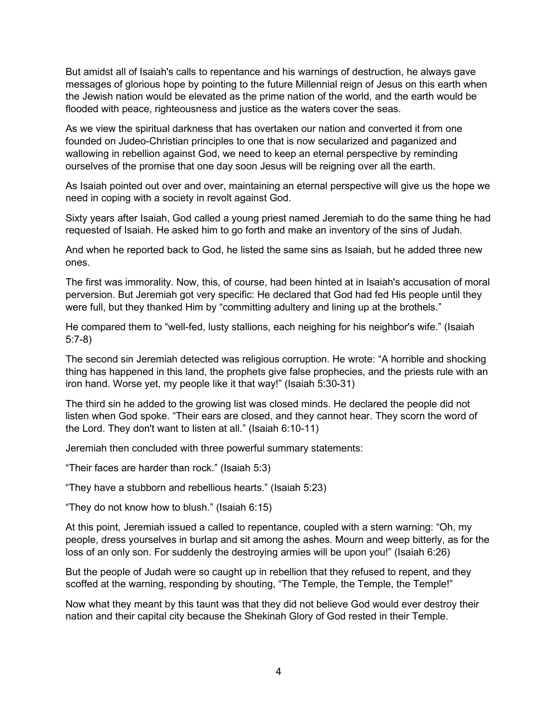But amidst all of Isaiah's calls to repentance and his warnings of destruction, he always gave messages of glorious hope by pointing to the future Millennial reign of Jesus on this earth when the Jewish nation would be elevated as the prime nation of the world, and the earth would be flooded with peace, righteousness and justice as the waters cover the seas.

As we view the spiritual darkness that has overtaken our nation and converted it from one founded on Judeo-Christian principles to one that is now secularized and paganized and wallowing in rebellion against God, we need to keep an eternal perspective by reminding ourselves of the promise that one day soon Jesus will be reigning over all the earth.

As Isaiah pointed out over and over, maintaining an eternal perspective will give us the hope we need in coping with a society in revolt against God.

Sixty years after Isaiah, God called a young priest named Jeremiah to do the same thing he had requested of Isaiah. He asked him to go forth and make an inventory of the sins of Judah.

And when he reported back to God, he listed the same sins as Isaiah, but he added three new ones.

The first was immorality. Now, this, of course, had been hinted at in Isaiah's accusation of moral perversion. But Jeremiah got very specific: He declared that God had fed His people until they were full, but they thanked Him by "committing adultery and lining up at the brothels."

He compared them to "well-fed, lusty stallions, each neighing for his neighbor's wife." (Isaiah 5:7-8)

The second sin Jeremiah detected was religious corruption. He wrote: "A horrible and shocking thing has happened in this land, the prophets give false prophecies, and the priests rule with an iron hand. Worse yet, my people like it that way!" (Isaiah 5:30-31)

The third sin he added to the growing list was closed minds. He declared the people did not listen when God spoke. "Their ears are closed, and they cannot hear. They scorn the word of the Lord. They don't want to listen at all." (Isaiah 6:10-11)

Jeremiah then concluded with three powerful summary statements:

"Their faces are harder than rock." (Isaiah 5:3)

"They have a stubborn and rebellious hearts." (Isaiah 5:23)

"They do not know how to blush." (Isaiah 6:15)

At this point, Jeremiah issued a called to repentance, coupled with a stern warning: "Oh, my people, dress yourselves in burlap and sit among the ashes. Mourn and weep bitterly, as for the loss of an only son. For suddenly the destroying armies will be upon you!" (Isaiah 6:26)

But the people of Judah were so caught up in rebellion that they refused to repent, and they scoffed at the warning, responding by shouting, "The Temple, the Temple, the Temple!"

Now what they meant by this taunt was that they did not believe God would ever destroy their nation and their capital city because the Shekinah Glory of God rested in their Temple.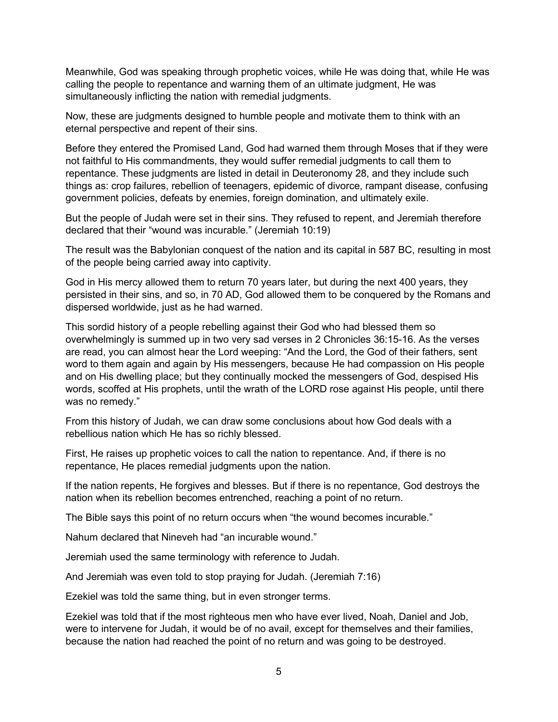Meanwhile, God was speaking through prophetic voices, while He was doing that, while He was calling the people to repentance and warning them of an ultimate judgment, He was simultaneously inflicting the nation with remedial judgments.

Now, these are judgments designed to humble people and motivate them to think with an eternal perspective and repent of their sins.

Before they entered the Promised Land, God had warned them through Moses that if they were not faithful to His commandments, they would suffer remedial judgments to call them to repentance. These judgments are listed in detail in Deuteronomy 28, and they include such things as: crop failures, rebellion of teenagers, epidemic of divorce, rampant disease, confusing government policies, defeats by enemies, foreign domination, and ultimately exile.

But the people of Judah were set in their sins. They refused to repent, and Jeremiah therefore declared that their "wound was incurable." (Jeremiah 10:19)

The result was the Babylonian conquest of the nation and its capital in 587 BC, resulting in most of the people being carried away into captivity.

God in His mercy allowed them to return 70 years later, but during the next 400 years, they persisted in their sins, and so, in 70 AD, God allowed them to be conquered by the Romans and dispersed worldwide, just as he had warned.

This sordid history of a people rebelling against their God who had blessed them so overwhelmingly is summed up in two very sad verses in 2 Chronicles 36:15-16. As the verses are read, you can almost hear the Lord weeping: "And the Lord, the God of their fathers, sent word to them again and again by His messengers, because He had compassion on His people and on His dwelling place; but they continually mocked the messengers of God, despised His words, scoffed at His prophets, until the wrath of the LORD rose against His people, until there was no remedy."

From this history of Judah, we can draw some conclusions about how God deals with a rebellious nation which He has so richly blessed.

First, He raises up prophetic voices to call the nation to repentance. And, if there is no repentance, He places remedial judgments upon the nation.

If the nation repents, He forgives and blesses. But if there is no repentance, God destroys the nation when its rebellion becomes entrenched, reaching a point of no return.

The Bible says this point of no return occurs when "the wound becomes incurable."

Nahum declared that Nineveh had "an incurable wound."

Jeremiah used the same terminology with reference to Judah.

And Jeremiah was even told to stop praying for Judah. (Jeremiah 7:16)

Ezekiel was told the same thing, but in even stronger terms.

Ezekiel was told that if the most righteous men who have ever lived, Noah, Daniel and Job, were to intervene for Judah, it would be of no avail, except for themselves and their families, because the nation had reached the point of no return and was going to be destroyed.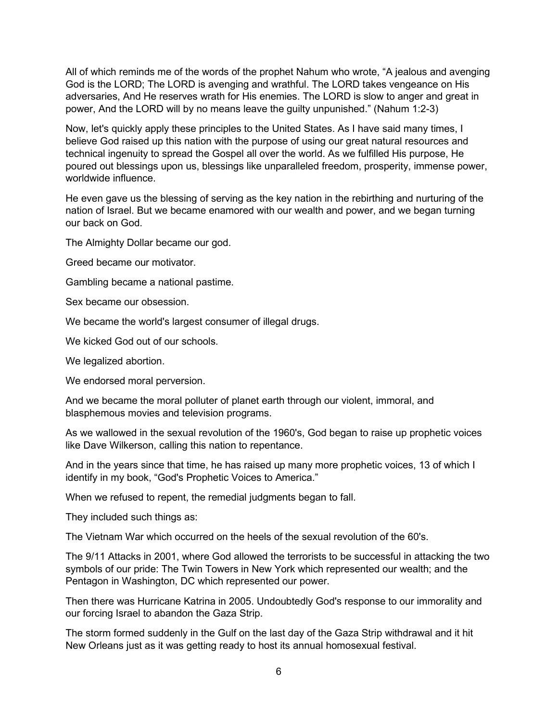All of which reminds me of the words of the prophet Nahum who wrote, "A jealous and avenging God is the LORD; The LORD is avenging and wrathful. The LORD takes vengeance on His adversaries, And He reserves wrath for His enemies. The LORD is slow to anger and great in power, And the LORD will by no means leave the guilty unpunished." (Nahum 1:2-3)

Now, let's quickly apply these principles to the United States. As I have said many times, I believe God raised up this nation with the purpose of using our great natural resources and technical ingenuity to spread the Gospel all over the world. As we fulfilled His purpose, He poured out blessings upon us, blessings like unparalleled freedom, prosperity, immense power, worldwide influence.

He even gave us the blessing of serving as the key nation in the rebirthing and nurturing of the nation of Israel. But we became enamored with our wealth and power, and we began turning our back on God.

The Almighty Dollar became our god.

Greed became our motivator.

Gambling became a national pastime.

Sex became our obsession.

We became the world's largest consumer of illegal drugs.

We kicked God out of our schools.

We legalized abortion.

We endorsed moral perversion.

And we became the moral polluter of planet earth through our violent, immoral, and blasphemous movies and television programs.

As we wallowed in the sexual revolution of the 1960's, God began to raise up prophetic voices like Dave Wilkerson, calling this nation to repentance.

And in the years since that time, he has raised up many more prophetic voices, 13 of which I identify in my book, "God's Prophetic Voices to America."

When we refused to repent, the remedial judgments began to fall.

They included such things as:

The Vietnam War which occurred on the heels of the sexual revolution of the 60's.

The 9/11 Attacks in 2001, where God allowed the terrorists to be successful in attacking the two symbols of our pride: The Twin Towers in New York which represented our wealth; and the Pentagon in Washington, DC which represented our power.

Then there was Hurricane Katrina in 2005. Undoubtedly God's response to our immorality and our forcing Israel to abandon the Gaza Strip.

The storm formed suddenly in the Gulf on the last day of the Gaza Strip withdrawal and it hit New Orleans just as it was getting ready to host its annual homosexual festival.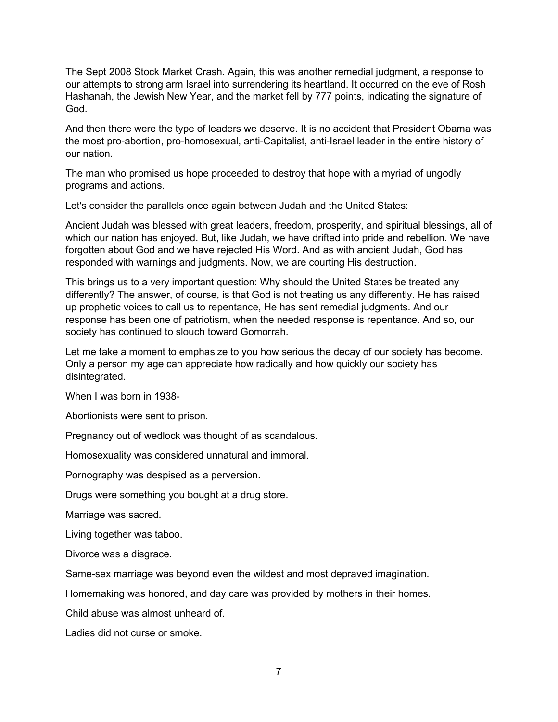The Sept 2008 Stock Market Crash. Again, this was another remedial judgment, a response to our attempts to strong arm Israel into surrendering its heartland. It occurred on the eve of Rosh Hashanah, the Jewish New Year, and the market fell by 777 points, indicating the signature of God.

And then there were the type of leaders we deserve. It is no accident that President Obama was the most pro-abortion, pro-homosexual, anti-Capitalist, anti-Israel leader in the entire history of our nation.

The man who promised us hope proceeded to destroy that hope with a myriad of ungodly programs and actions.

Let's consider the parallels once again between Judah and the United States:

Ancient Judah was blessed with great leaders, freedom, prosperity, and spiritual blessings, all of which our nation has enjoyed. But, like Judah, we have drifted into pride and rebellion. We have forgotten about God and we have rejected His Word. And as with ancient Judah, God has responded with warnings and judgments. Now, we are courting His destruction.

This brings us to a very important question: Why should the United States be treated any differently? The answer, of course, is that God is not treating us any differently. He has raised up prophetic voices to call us to repentance, He has sent remedial judgments. And our response has been one of patriotism, when the needed response is repentance. And so, our society has continued to slouch toward Gomorrah.

Let me take a moment to emphasize to you how serious the decay of our society has become. Only a person my age can appreciate how radically and how quickly our society has disintegrated.

When I was born in 1938-

Abortionists were sent to prison.

Pregnancy out of wedlock was thought of as scandalous.

Homosexuality was considered unnatural and immoral.

Pornography was despised as a perversion.

Drugs were something you bought at a drug store.

Marriage was sacred.

Living together was taboo.

Divorce was a disgrace.

Same-sex marriage was beyond even the wildest and most depraved imagination.

Homemaking was honored, and day care was provided by mothers in their homes.

Child abuse was almost unheard of.

Ladies did not curse or smoke.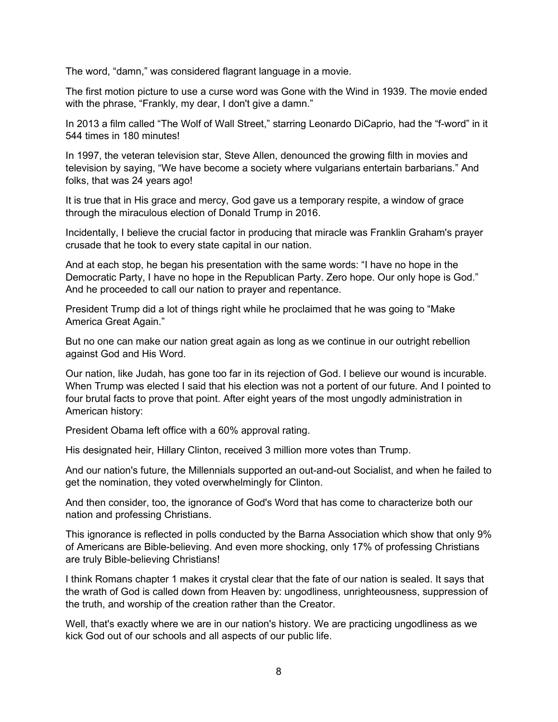The word, "damn," was considered flagrant language in a movie.

The first motion picture to use a curse word was Gone with the Wind in 1939. The movie ended with the phrase, "Frankly, my dear, I don't give a damn."

In 2013 a film called "The Wolf of Wall Street," starring Leonardo DiCaprio, had the "f-word" in it 544 times in 180 minutes!

In 1997, the veteran television star, Steve Allen, denounced the growing filth in movies and television by saying, "We have become a society where vulgarians entertain barbarians." And folks, that was 24 years ago!

It is true that in His grace and mercy, God gave us a temporary respite, a window of grace through the miraculous election of Donald Trump in 2016.

Incidentally, I believe the crucial factor in producing that miracle was Franklin Graham's prayer crusade that he took to every state capital in our nation.

And at each stop, he began his presentation with the same words: "I have no hope in the Democratic Party, I have no hope in the Republican Party. Zero hope. Our only hope is God." And he proceeded to call our nation to prayer and repentance.

President Trump did a lot of things right while he proclaimed that he was going to "Make America Great Again."

But no one can make our nation great again as long as we continue in our outright rebellion against God and His Word.

Our nation, like Judah, has gone too far in its rejection of God. I believe our wound is incurable. When Trump was elected I said that his election was not a portent of our future. And I pointed to four brutal facts to prove that point. After eight years of the most ungodly administration in American history:

President Obama left office with a 60% approval rating.

His designated heir, Hillary Clinton, received 3 million more votes than Trump.

And our nation's future, the Millennials supported an out-and-out Socialist, and when he failed to get the nomination, they voted overwhelmingly for Clinton.

And then consider, too, the ignorance of God's Word that has come to characterize both our nation and professing Christians.

This ignorance is reflected in polls conducted by the Barna Association which show that only 9% of Americans are Bible-believing. And even more shocking, only 17% of professing Christians are truly Bible-believing Christians!

I think Romans chapter 1 makes it crystal clear that the fate of our nation is sealed. It says that the wrath of God is called down from Heaven by: ungodliness, unrighteousness, suppression of the truth, and worship of the creation rather than the Creator.

Well, that's exactly where we are in our nation's history. We are practicing ungodliness as we kick God out of our schools and all aspects of our public life.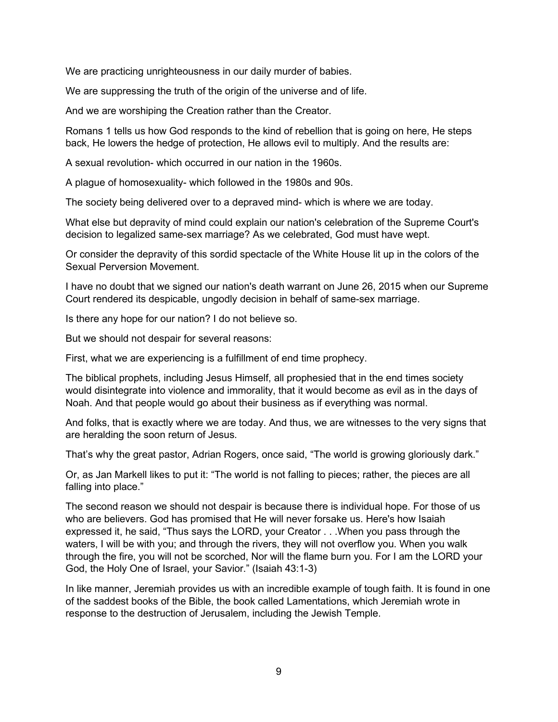We are practicing unrighteousness in our daily murder of babies.

We are suppressing the truth of the origin of the universe and of life.

And we are worshiping the Creation rather than the Creator.

Romans 1 tells us how God responds to the kind of rebellion that is going on here, He steps back, He lowers the hedge of protection, He allows evil to multiply. And the results are:

A sexual revolution- which occurred in our nation in the 1960s.

A plague of homosexuality- which followed in the 1980s and 90s.

The society being delivered over to a depraved mind- which is where we are today.

What else but depravity of mind could explain our nation's celebration of the Supreme Court's decision to legalized same-sex marriage? As we celebrated, God must have wept.

Or consider the depravity of this sordid spectacle of the White House lit up in the colors of the Sexual Perversion Movement.

I have no doubt that we signed our nation's death warrant on June 26, 2015 when our Supreme Court rendered its despicable, ungodly decision in behalf of same-sex marriage.

Is there any hope for our nation? I do not believe so.

But we should not despair for several reasons:

First, what we are experiencing is a fulfillment of end time prophecy.

The biblical prophets, including Jesus Himself, all prophesied that in the end times society would disintegrate into violence and immorality, that it would become as evil as in the days of Noah. And that people would go about their business as if everything was normal.

And folks, that is exactly where we are today. And thus, we are witnesses to the very signs that are heralding the soon return of Jesus.

That's why the great pastor, Adrian Rogers, once said, "The world is growing gloriously dark."

Or, as Jan Markell likes to put it: "The world is not falling to pieces; rather, the pieces are all falling into place."

The second reason we should not despair is because there is individual hope. For those of us who are believers. God has promised that He will never forsake us. Here's how Isaiah expressed it, he said, "Thus says the LORD, your Creator . . .When you pass through the waters, I will be with you; and through the rivers, they will not overflow you. When you walk through the fire, you will not be scorched, Nor will the flame burn you. For I am the LORD your God, the Holy One of Israel, your Savior." (Isaiah 43:1-3)

In like manner, Jeremiah provides us with an incredible example of tough faith. It is found in one of the saddest books of the Bible, the book called Lamentations, which Jeremiah wrote in response to the destruction of Jerusalem, including the Jewish Temple.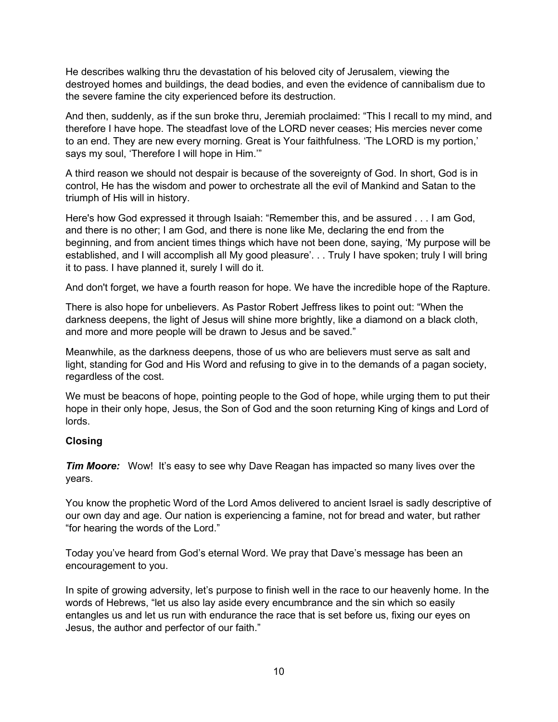He describes walking thru the devastation of his beloved city of Jerusalem, viewing the destroyed homes and buildings, the dead bodies, and even the evidence of cannibalism due to the severe famine the city experienced before its destruction.

And then, suddenly, as if the sun broke thru, Jeremiah proclaimed: "This I recall to my mind, and therefore I have hope. The steadfast love of the LORD never ceases; His mercies never come to an end. They are new every morning. Great is Your faithfulness. 'The LORD is my portion,' says my soul, 'Therefore I will hope in Him.'"

A third reason we should not despair is because of the sovereignty of God. In short, God is in control, He has the wisdom and power to orchestrate all the evil of Mankind and Satan to the triumph of His will in history.

Here's how God expressed it through Isaiah: "Remember this, and be assured . . . I am God, and there is no other; I am God, and there is none like Me, declaring the end from the beginning, and from ancient times things which have not been done, saying, 'My purpose will be established, and I will accomplish all My good pleasure'. . . Truly I have spoken; truly I will bring it to pass. I have planned it, surely I will do it.

And don't forget, we have a fourth reason for hope. We have the incredible hope of the Rapture.

There is also hope for unbelievers. As Pastor Robert Jeffress likes to point out: "When the darkness deepens, the light of Jesus will shine more brightly, like a diamond on a black cloth, and more and more people will be drawn to Jesus and be saved."

Meanwhile, as the darkness deepens, those of us who are believers must serve as salt and light, standing for God and His Word and refusing to give in to the demands of a pagan society, regardless of the cost.

We must be beacons of hope, pointing people to the God of hope, while urging them to put their hope in their only hope, Jesus, the Son of God and the soon returning King of kings and Lord of lords.

#### **Closing**

*Tim Moore:* Wow! It's easy to see why Dave Reagan has impacted so many lives over the years.

You know the prophetic Word of the Lord Amos delivered to ancient Israel is sadly descriptive of our own day and age. Our nation is experiencing a famine, not for bread and water, but rather "for hearing the words of the Lord."

Today you've heard from God's eternal Word. We pray that Dave's message has been an encouragement to you.

In spite of growing adversity, let's purpose to finish well in the race to our heavenly home. In the words of Hebrews, "let us also lay aside every encumbrance and the sin which so easily entangles us and let us run with endurance the race that is set before us, fixing our eyes on Jesus, the author and perfector of our faith."